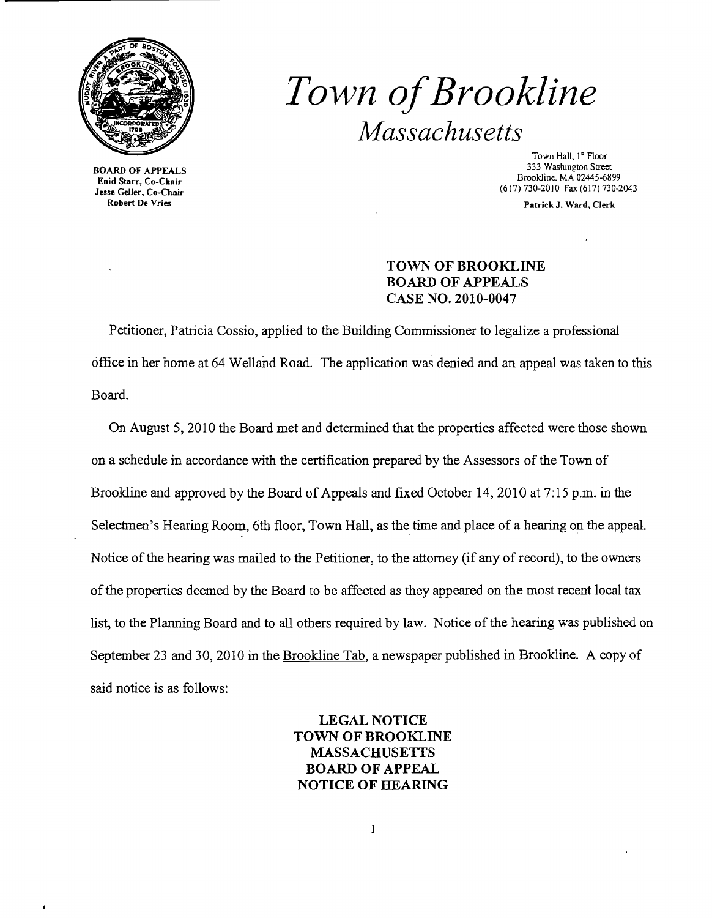

BOARD OF APPEALS Enid Starr, Co-Chair Jesse Geller, Co-Chair Robert De Vries

 $\mathbf{r}$ 

## *Town ofBrookline Massachusetts*

Town Hall, 1st Floor 333 Washington Street Brookline, MA 02445-6899 (617) 730-2010 Fax (617) 730-2043

Patrick J. Ward, Clerk

## TOWN OF BROOKLINE BOARD OF APPEALS CASE NO. 2010-0047

Petitioner, Patricia Cossio, applied to the Building Commissioner to legalize a professional office in her home at 64 WeIland Road. The application was denied and an appeal was taken to this Board.

On August 5, 2010 the Board met and determined that the properties affected were those shown on a schedule in accordance with the certification prepared by the Assessors of the Town of Brookline and approved by the Board of Appeals and fixed October 14, 2010 at  $7:15$  p.m. in the Selectmen's Hearing Room, 6th floor, Town Hall, as the time and place of a hearing on the appeal. Notice of the hearing was mailed to the Petitioner, to the attorney (if any of record), to the owners ofthe properties deemed by the Board to be affected as they appeared on the most recent local tax list, to the Planning Board and to all others required by law. Notice of the hearing was published on September 23 and 30, 2010 in the Brookline Tab, a newspaper published in Brookline. A copy of said notice is as follows:

> LEGAL NOTICE TOWN OF BROOKLINE MASSACHUSETTS BOARD OF APPEAL NOTICE OF HEARING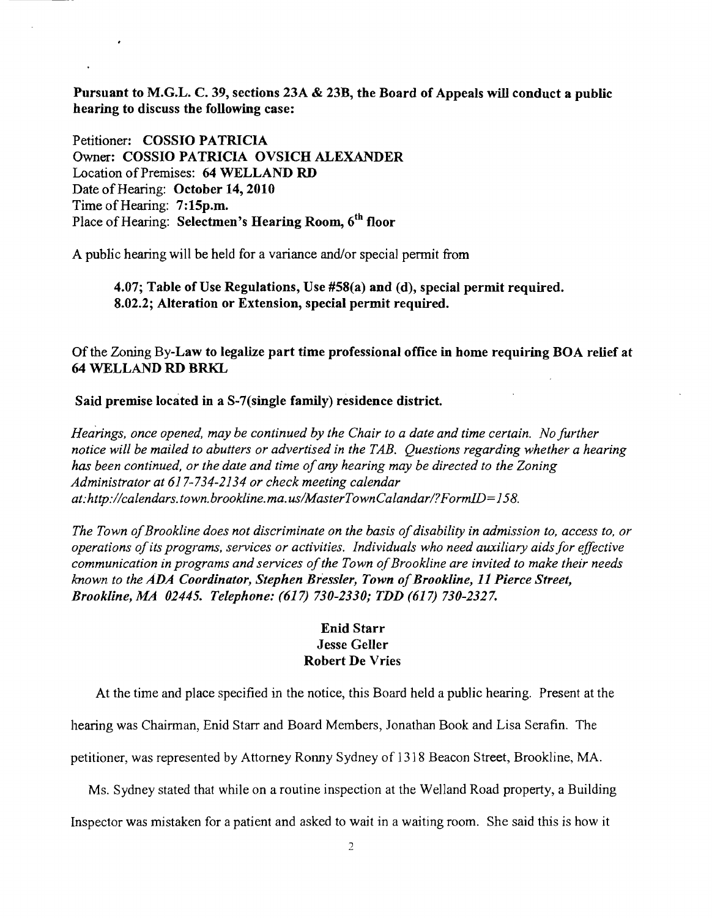Pursuant to M.G.L. C. 39, sections 23A & 23B, the Board of Appeals will conduct a public hearing to discuss the following case:

Petitioner: COSSIO PATRICIA Owner: COSSIO PATRICIA OVSICH ALEXANDER Location of Premises: 64 WELLAND RD Date of Hearing: October 14, 2010 Time of Hearing: 7:15p.m. Place of Hearing: Selectmen's Hearing Room, 6<sup>th</sup> floor

A public hearing will be held for a variance and/or special permit from

4.07; Table of Use Regulations, Use #58(a) and (d), special permit required. 8.02.2; Alteration or Extension, special permit required.

Of the Zoning By-Law to legalize part time professional office in home requiring BOA relief at 64 WELLAND RD BRKL

## Said premise located in a S-7(single family) residence district.

*Heanngs, once opened, may be continued by the Chair to a date and time certain. No further notice will be mailed to abutters or advertised in the TAB. Questions regarding whether a hearing has been continued, or the date and time ofany hearing may be directed to the Zoning Administrator at* 617-734-2134 *or check meeting calendar at:http://calendars. town. brookline. ma. uslMasterTownCalandarl?Form1D=158.* 

The Town of Brookline does not discriminate on the basis of disability in admission to, access to, or *operations ofits programs, services or activities. Individuals who need auxiliary aids for effective*  communication in programs and services of the Town of Brookline are invited to make their needs *known to the ADA Coordinator, Stephen Bressler, Town of Brookline, 11 Pierce Street, Brookline, MA 02445. Telephone:* (617) *730-2330; TDD* (617) *730-2327.* 

## Enid Starr Jesse Geller Robert De Vries

At the time and place specified in the notice, this Board held a public hearing. Present at the

hearing was Chairman, Enid Starr and Board Members, Jonathan Book and Lisa Serafin. The

petitioner, was represented by Attorney Ronny Sydney of 1318 Beacon Street, Brookline, MA.

Ms. Sydney stated that while on a routine inspection at the WeIland Road property, a Building

Inspector was mistaken for a patient and asked to wait in a waiting room. She said this is how it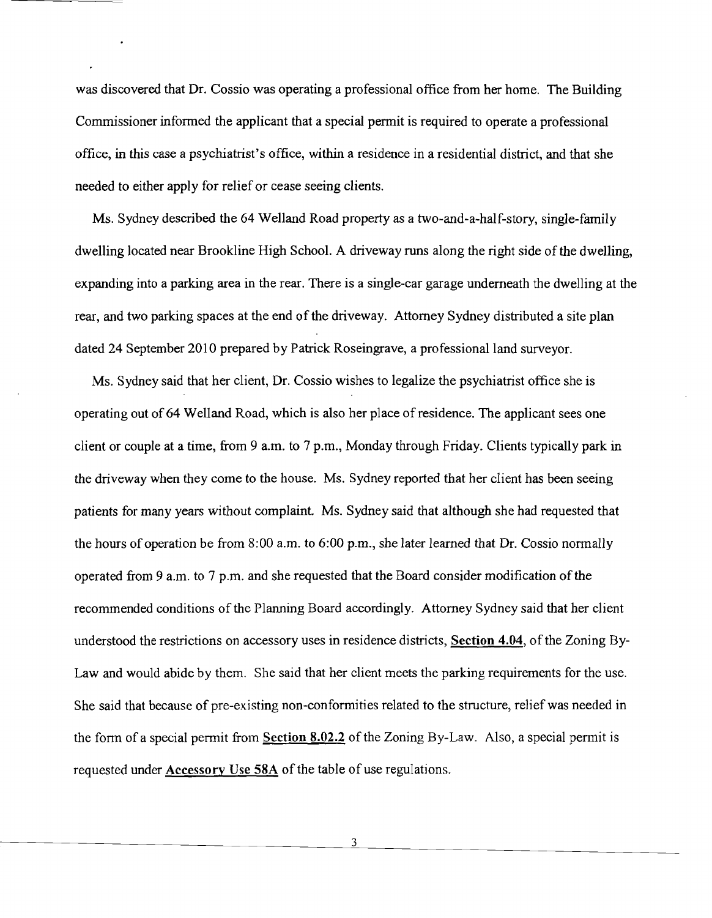was discovered that Dr. Cossio was operating a professional office from her home. The Building Commissioner informed the applicant that a special permit is required to operate a professional office, in this case a psychiatrist's office, within a residence in a residential district, and that she needed to either apply for relief or cease seeing clients.

Ms. Sydney described the 64 WeIland Road property as a two-and-a-half-story, single-family dwelling located near Brookline High School. A driveway runs along the right side of the dwelling, expanding into a parking area in the rear. There is a single-car garage underneath the dwelling at the rear, and two parking spaces at the end of the driveway. Attorney Sydney distributed a site plan dated 24 September 2010 prepared by Patrick Roseingrave, a professional land surveyor.

Ms. Sydney said that her client, Dr. Cossio wishes to legalize the psychiatrist office she is operating out of 64 Welland Road, which is also her place of residence. The applicant sees one client or couple at a time, from 9 a.m. to 7 p.m., Monday through Friday. Clients typically park in the driveway when they come to the house. Ms. Sydney reported that her client has been seeing patients for many years without complaint. Ms. Sydney said that although she had requested that the hours of operation be from  $8:00$  a.m. to  $6:00$  p.m., she later learned that Dr. Cossio normally operated from 9 a.m. to 7 p.m. and she requested that the Board consider modification of the recommended conditions of the Planning Board accordingly. Attorney Sydney said that her client understood the restrictions on accessory uses in residence districts, Section 4.04, ofthe Zoning By-Law and would abide by them. She said that her client meets the parking requirements for the use. She said that because of pre-existing non-conformities related to the structure, relief was needed in the form of a special permit from Section  $8.02.2$  of the Zoning By-Law. Also, a special permit is requested under Accessory Use *58A* of the table of use regulations.

3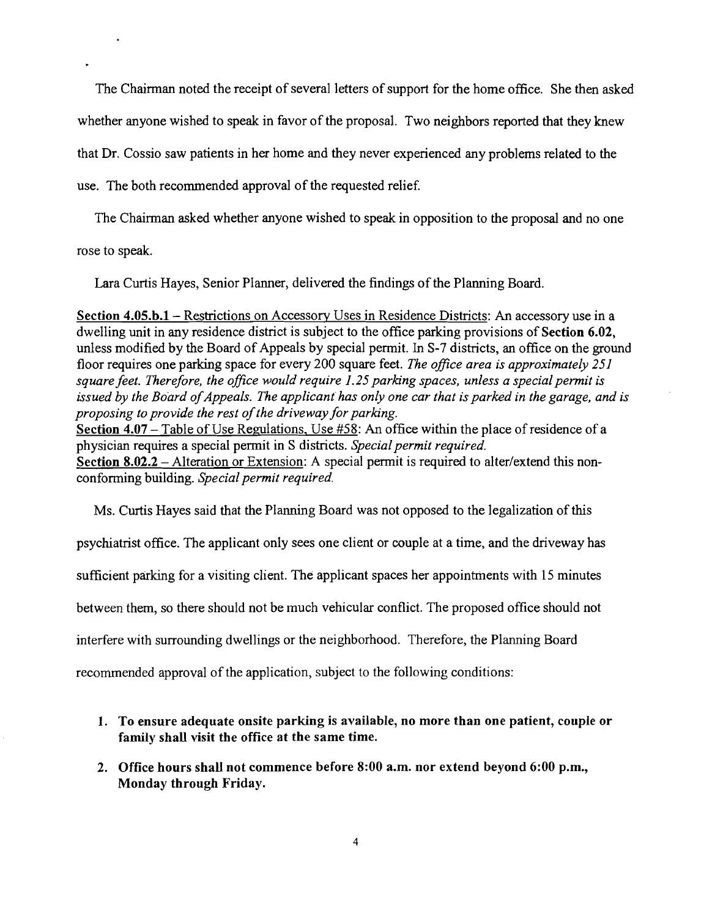The Chairman noted the receipt of several letters of support for the home office. She then asked whether anyone wished to speak in favor of the proposal. Two neighbors reported that they knew that Dr. Cossio saw patients in her home and they never experienced any problems related to the use. The both recommended approval of the requested relief.

The Chairman asked whether anyone wished to speak in opposition to the proposal and no one

rose to speak.

Lara Curtis Hayes, Senior Planner, delivered the findings of the Planning Board.

Section 4.05.b.1 – Restrictions on Accessory Uses in Residence Districts: An accessory use in a dwelling unit in any residence district is subject to the office parking provisions of Section 6.02, unless modified by the Board of Appeals by special permit. In S-7 districts, an office on the ground floor requires one parking space for every 200 square feet. *The office area is approximately 251 square feet. Therefore, the office would require* 1.25 *parking spaces, unless a special permit is*  issued by the Board of Appeals. The applicant has only one car that is parked in the garage, and is *proposing to provide the rest of the driveway for parking.* Section 4.07 - Table of Use Regulations, Use #58: An office within the place of residence of a

physician requires a special pennit in S districts. *Special permit required.*  Section 8.02.2 - Alteration or Extension: A special permit is required to alter/extend this nonconforming building. *Special permit required.* 

Ms. Curtis Hayes said that the Planning Board was not opposed to the legalization of this psychiatrist office. The applicant only sees one client or couple at a time, and the driveway has sufficient parking for a visiting client. The applicant spaces her appointments with 15 minutes between them, so there should not be much vehicular conflict. The proposed office should not interfere with surrounding dwellings or the neighborhood. Therefore, the Planning Board recommended approval of the application, subject to the following conditions:

- 1. To ensure adequate onsite parking is available, no more than one patient, couple or family shall visit the office at the same time.
- 2. Office hours shall not commence before 8:00 a.m. nor extend beyond 6:00 p.m., Monday through Friday.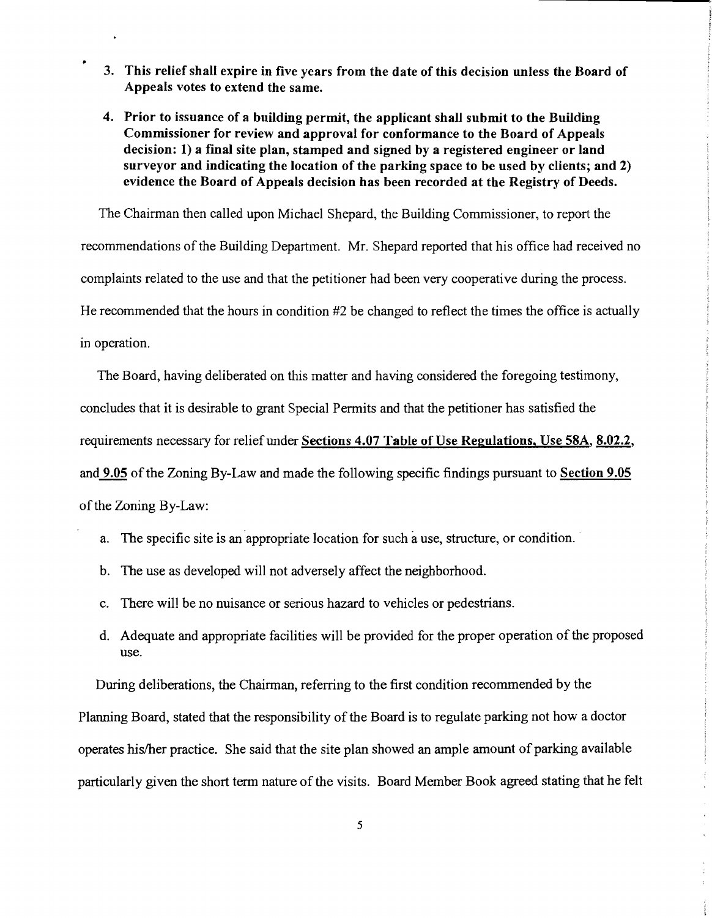- 3. This relief shall expire in five years from the date of this decision unless the Board of Appeals votes to extend the same.
- 4. Prior to issuance of a building permit, the applicant shall submit to the Building Commissioner for review and approval for conformance to the Board of Appeals decision: 1) a final site plan, stamped and signed by a registered engineer or land surveyor and indicating the location of the parking space to be used by clients; and 2) evidence the Board of Appeals decision has been recorded at the Registry of Deeds.

The Chairman then called upon Michael Shepard, the Building Commissioner, to report the recommendations of the Building Department. Mr. Shepard reported that his office had received no complaints related to the use and that the petitioner had been very cooperative during the process. He recommended that the hours in condition #2 be changed to reflect the times the office is actually in operation.

The Board, having deliberated on this matter and having considered the foregoing testimony, concludes that it is desirable to grant Special Permits and that the petitioner has satisfied the requirements necessary for relief under Sections 4.07 Table of Use Regulations, Use 58A, 8.02.2, and 9.05 of the Zoning By-Law and made the following specific findings pursuant to Section 9.05 of the Zoning By-Law:

- a. The specific site is an appropriate location for such a use, structure, or condition.
- b. The use as developed will not adversely affect the neighborhood.
- c. There will be no nuisance or serious hazard to vehicles or pedestrians.
- d. Adequate and appropriate facilities will be provided for the proper operation of the proposed use.

During deliberations, the Chairman, referring to the first condition recommended by the

Planning Board, stated that the responsibility of the Board is to regulate parking not how a doctor operates hislher practice. She said that the site plan showed an ample amount of parking available particularly given the short term nature of the visits. Board Member Book agreed stating that he felt